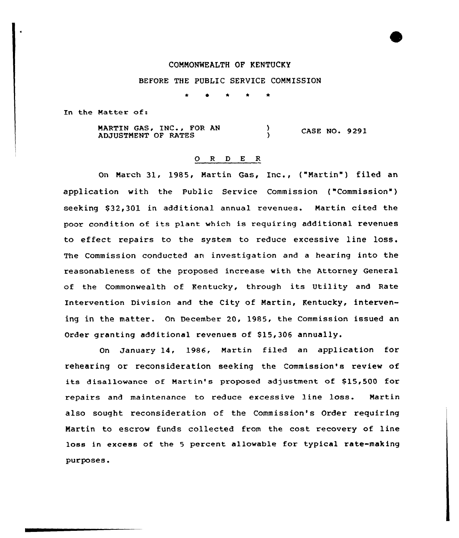## COMMONWEALTH OF KENTUCKY

## BEFORE THE PUBLIC SERVICE COMMISSION

In the Matter of:

MARTIN GASi INC <sup>g</sup> FOR AN ADJUSTMENT OF RATES CASE NO. 9291

# 0 <sup>R</sup> <sup>D</sup> <sup>E</sup> <sup>R</sup>

On March 31, 1985, Martin Gas, Inc., ("Martin") filed an application with the Public Service Commission ("Commission" ) seeking \$ 32,301 in additional annual xevenues. Martin cited the poor condition of its plant which is requiring additional revenues to effect repairs to the system to reduce excessive line loss. The Commission conducted an investigation and a hearing into the reasonableness of the proposed increase with the Attorney General of the Commonwealth of Kentucky, through its Utility and Rate Intervention Division and the City of Martin, Kentucky, intervening in the matter. On Decembex 20, 1985, the Commission issued an Order granting additional revenues of S15,306 annually.

On January 14, 1986, Martin filed an application for rehearing or reconsideration seeking the Commission's review of its disallowance of Martin's proposed adjustment of \$15,500 for repairs and maintenance to reduce excessive line loss. Martin also sought reconsideration of the Commission's Order requiring Martin to escrow funds collected from the cost recovery of line loss in excess of the <sup>5</sup> percent allowable for typical rate-making purposes.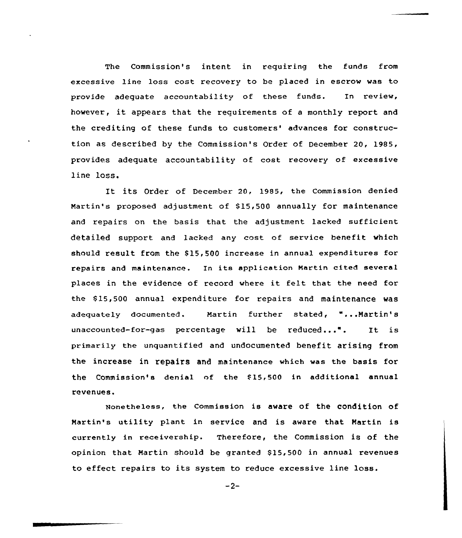The Commission's intent in requiring the funds from excessive line loss cost recovery to be placed in escrow was to provide adequate accountability of these funds. In review, however, it appears that the requirements of <sup>a</sup> monthly report and the crediting of these funds to customers' advances for construction as described by the Commission's Order of December 20, 1985, provides adequate accountability of cost recovery of excessive line loss.

It its Order of December 20, 1985, the Commission denied Martin's proposed adjustment of \$15,500 annually for maintenance and repairs on the basis that the adjustment lacked sufficient detailed support and lacked any cost of service benefit which should result from the 815,500 increase in annual expenditures for repairs and maintenance. In its application Martin cited several places in the evidence of record where it felt that the need for the \$15,500 annual expenditure for repairs and maintenance was adequately documented. Martin further stated, "...Martin's unaccounted-for-gas percentage will be reduced...". It is primarily the unquantified and undocumented benefit arising from the increase in repairs and maintenance which was the basis for the Commission's denial of the 815,500 in additional annual revenues.

Nonetheless, the Commission is aware of the condition of Martin's utility plant in service and is aware that Martin is currently in receivership. Therefore, the Commission is of the opinion that Martin should be granted \$ 15,500 in annual revenues to effect repairs to its system to reduce excessive line loss.

 $-2-$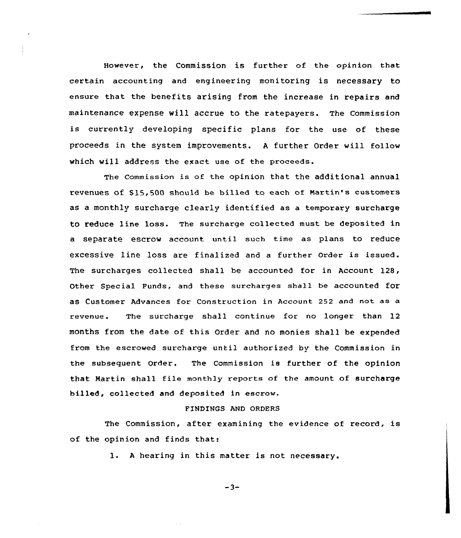However, the Commission is further of the opinion that certain accounting and engineering monitoring is necessary to ensure that the benefits arising from the increase in repairs and maintenance expense will accrue to the ratepayers. The Commission is currently developing specific plans for the use of these proceeds in the system improvements. <sup>A</sup> further Order will follow which will address the exact use of the proceeds.

The Commission is of the opinion that the additional annual revenues of \$15,500 should be billed to each of Martin's customers as a monthly surcharge clearly identified as a temporary surcharge to reduce line loss. The surcharge collected must be deposited in a separate escrow account until such time as plans to reduce excessive line loss are finalized and a further Order is issued. The surcharges collected shall be accounted for in Account 128, Other Special Funds, and these surcharges shall be accounted for as Customer Advances for construction in Account 252 and not as a revenue. The surcharge shall continue for no longer than 12 months from the date of this Order and no monies shall be expended from the escrowed surcharge until authorized by the Commission in the subsequent Order. The Commission is further of the opinion that Martin shall file monthly reports of the amount of surcharge billed, collected and deposited in escrow.

# FINDINGS AND ORDERS

The Commission, after examining the evidence of record, is of the opinion and finds that:

l. <sup>A</sup> hearing in this matter is not necessary.

 $-3-$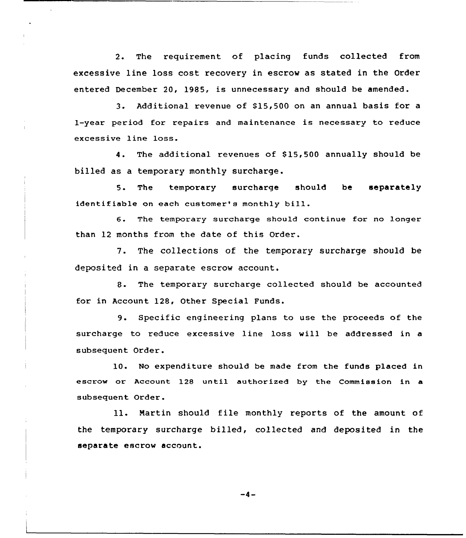2. The requirement of placing funds collected from excessive line loss cost recovery in escrow as stated in the Order entered December 20, 1985, is unnecessary and should be amended.

3. Additional revenue of 815,500 on an annual basis for <sup>a</sup> 1-year period for repairs and maintenance is necessary to reduce excessive line loss.

4. The additional revenues of \$15,500 annually should be billed as a temporary monthly surcharge.

5. The temporary surcharge should be separately identifiable on each customer's monthly bill.

6. The temporary surcharge should continue for no longer than 12 months from the date of this Order.

7. The collections of the temporary surcharge should be deposited in a separate escrow account.

8. The temporary surcharge collected should be accounted for in Account 128, Other Special Funds.

9. Specific engineer ing plans to use the proceeds of the surcharge to reduce excessive line loss will be addressed in a subsequent Order.

10. No expenditure should be made from the funds placed in escrow or Account 128 until authorized by the Commission in a subsequent Order.

ll. Nartin should file monthly reports of the amount of the temporary surcharge billed, collected and deposited in the separate escrow account.

 $-4-$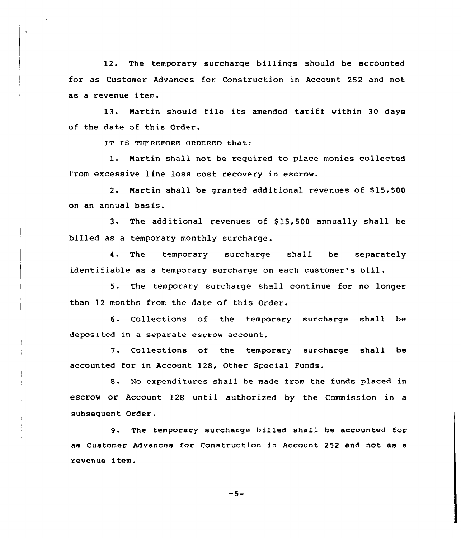12. The temporary surcharge billings should be accounted for as Customer Advances for Construction in Account 252 and not as a revenue item.

13. Martin should file its amended tariff within 30 days of the date of this Order.

IT IS THEREFORE ORDERED that:

1. Martin shall not be required to place monies collected from excessive line loss cost recovery in escrow.

2. Martin shall be granted additional revenues of \$15,500 on an annual basis.

3. The additional revenues of 815,500 annually shall be billed as a temporary monthly surcharge.

4. The temporary surcharge shall be separately identifiable as <sup>a</sup> temporary surcharge on each customer's bill.

5. The temporary surcharge shall continue for no longer than 12 months from the date of this Order.

6. Collections of the temporary surcharge shall be deposited in a separate escrow account.

7. Collections of the temporary surcharge shall be accounted for in Account 128, Other Special Funds.

8. No expenditures shall be made from the funds placed in escrow or Account 128 until authorized by the Commission in a subsequent Order.

9. The temporary surcharge billed shall he accounted for as Customer Mvances for Construction in Account 252 and not as a revenue item.

 $-5-$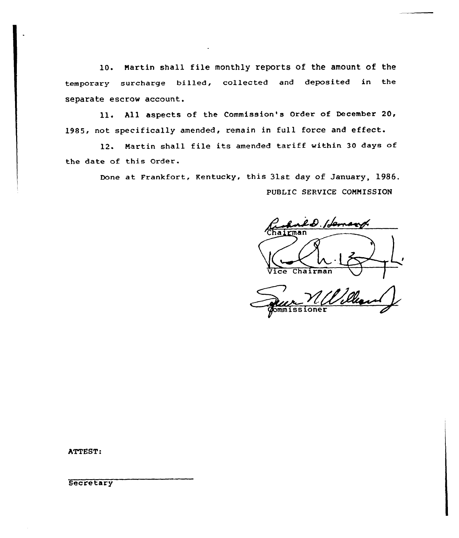10. Martin shall file monthly reports of the amount of the temporary surcharge billed, collected and deposited in the separate escrow account.

ll. All aspects of the Commission's Order of December 20, 1985, not specifically amended, remain in full force and effect.

12. Martin shall file its amended tariff within <sup>30</sup> days of the date of this Order.

> Done at Frankfort, Kentucky, this 31st day of January, 1986. PUBLIC SERVICE COMMISSION

ld. Hensy hairman Vice Chairman

'l Dill  $one$  $r$ 

ATTEST:

**Secretary**